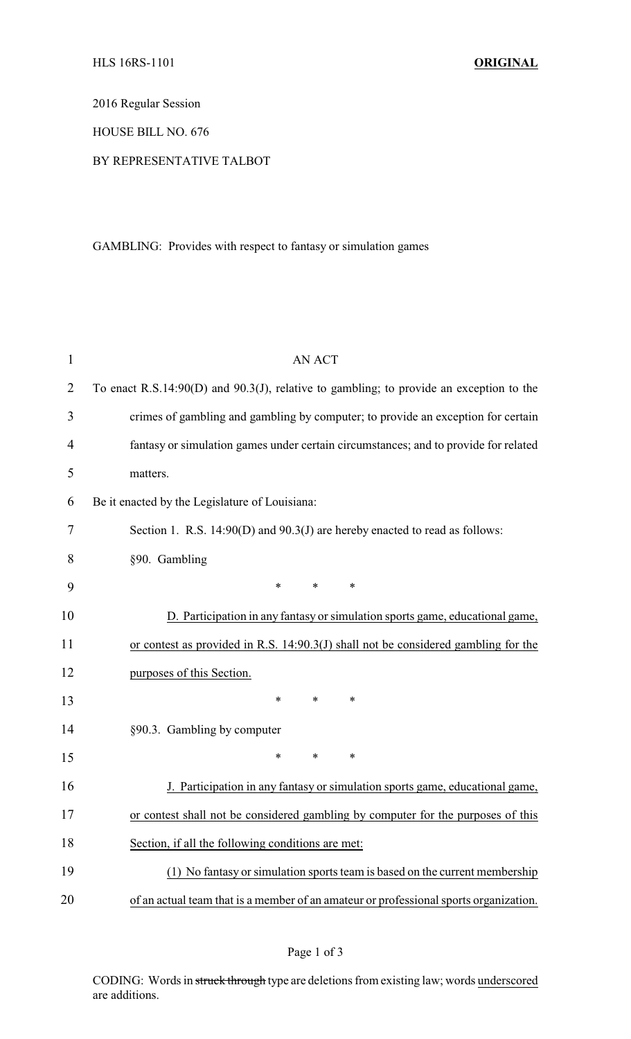2016 Regular Session

HOUSE BILL NO. 676

## BY REPRESENTATIVE TALBOT

GAMBLING: Provides with respect to fantasy or simulation games

| $\mathbf{1}$ | <b>AN ACT</b>                                                                              |  |  |
|--------------|--------------------------------------------------------------------------------------------|--|--|
| 2            | To enact R.S.14:90(D) and $90.3(J)$ , relative to gambling; to provide an exception to the |  |  |
| 3            | crimes of gambling and gambling by computer; to provide an exception for certain           |  |  |
| 4            | fantasy or simulation games under certain circumstances; and to provide for related        |  |  |
| 5            | matters.                                                                                   |  |  |
| 6            | Be it enacted by the Legislature of Louisiana:                                             |  |  |
| 7            | Section 1. R.S. 14:90(D) and 90.3(J) are hereby enacted to read as follows:                |  |  |
| 8            | §90. Gambling                                                                              |  |  |
| 9            | $\ast$<br>$\ast$<br>$\ast$                                                                 |  |  |
| 10           | D. Participation in any fantasy or simulation sports game, educational game,               |  |  |
| 11           | or contest as provided in R.S. 14:90.3(J) shall not be considered gambling for the         |  |  |
| 12           | purposes of this Section.                                                                  |  |  |
| 13           | $\ast$<br>$\ast$<br>∗                                                                      |  |  |
| 14           | §90.3. Gambling by computer                                                                |  |  |
| 15           | $\ast$<br>*<br>*                                                                           |  |  |
| 16           | J. Participation in any fantasy or simulation sports game, educational game,               |  |  |
| 17           | or contest shall not be considered gambling by computer for the purposes of this           |  |  |
| 18           | Section, if all the following conditions are met:                                          |  |  |
| 19           | (1) No fantasy or simulation sports team is based on the current membership                |  |  |
| 20           | of an actual team that is a member of an amateur or professional sports organization.      |  |  |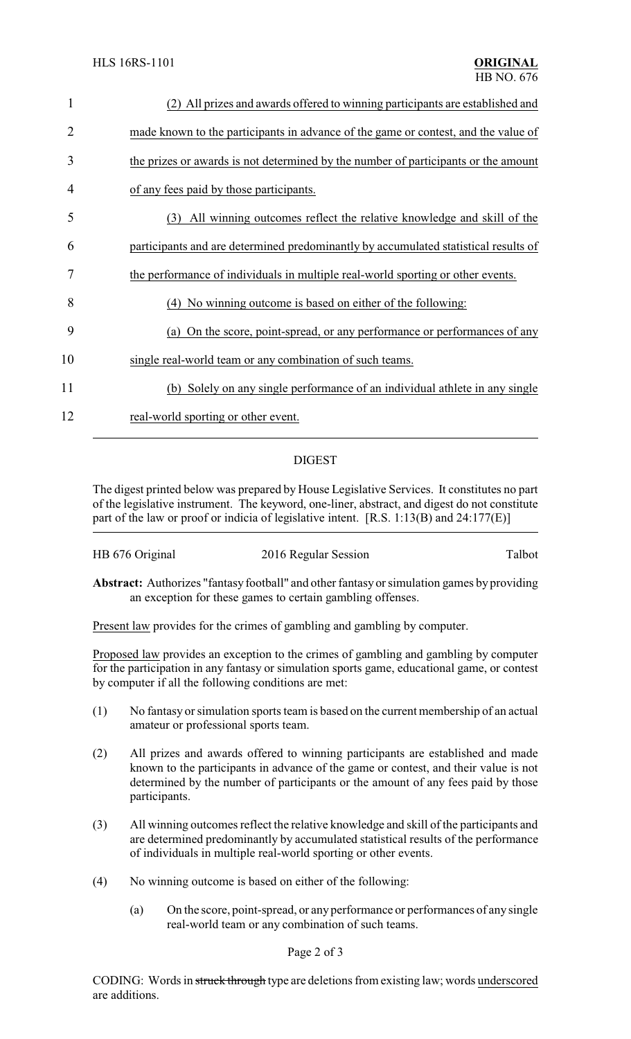| $\mathbf{1}$ | (2) All prizes and awards offered to winning participants are established and       |
|--------------|-------------------------------------------------------------------------------------|
| 2            | made known to the participants in advance of the game or contest, and the value of  |
| 3            | the prizes or awards is not determined by the number of participants or the amount  |
| 4            | of any fees paid by those participants.                                             |
| 5            | All winning outcomes reflect the relative knowledge and skill of the<br>(3)         |
| 6            | participants and are determined predominantly by accumulated statistical results of |
| 7            | the performance of individuals in multiple real-world sporting or other events.     |
| 8            | (4) No winning outcome is based on either of the following:                         |
| 9            | (a) On the score, point-spread, or any performance or performances of any           |
| 10           | single real-world team or any combination of such teams.                            |
| 11           | (b) Solely on any single performance of an individual athlete in any single         |
| 12           | real-world sporting or other event.                                                 |
|              |                                                                                     |

## DIGEST

The digest printed below was prepared by House Legislative Services. It constitutes no part of the legislative instrument. The keyword, one-liner, abstract, and digest do not constitute part of the law or proof or indicia of legislative intent. [R.S. 1:13(B) and 24:177(E)]

| HB 676 Original | 2016 Regular Session | Talbot |
|-----------------|----------------------|--------|
|-----------------|----------------------|--------|

**Abstract:** Authorizes "fantasy football" and other fantasy or simulation games by providing an exception for these games to certain gambling offenses.

Present law provides for the crimes of gambling and gambling by computer.

Proposed law provides an exception to the crimes of gambling and gambling by computer for the participation in any fantasy or simulation sports game, educational game, or contest by computer if all the following conditions are met:

- (1) No fantasy or simulation sports team is based on the current membership of an actual amateur or professional sports team.
- (2) All prizes and awards offered to winning participants are established and made known to the participants in advance of the game or contest, and their value is not determined by the number of participants or the amount of any fees paid by those participants.
- (3) All winning outcomes reflect the relative knowledge and skill of the participants and are determined predominantly by accumulated statistical results of the performance of individuals in multiple real-world sporting or other events.
- (4) No winning outcome is based on either of the following:
	- (a) On the score, point-spread, or any performance or performances of any single real-world team or any combination of such teams.